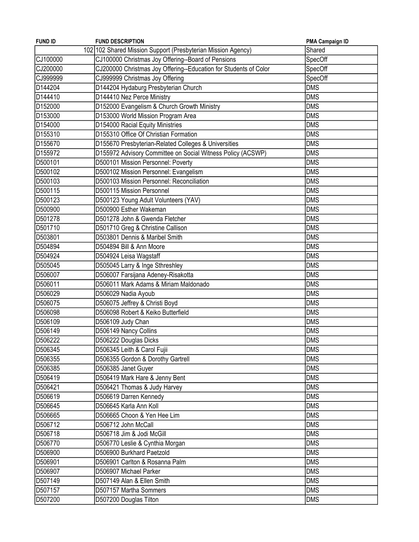| <b>FUND ID</b> | <b>FUND DESCRIPTION</b>                                          | PMA Campaign ID |
|----------------|------------------------------------------------------------------|-----------------|
|                | 102 102 Shared Mission Support (Presbyterian Mission Agency)     | Shared          |
| CJ100000       | CJ100000 Christmas Joy Offering--Board of Pensions               | SpecOff         |
| CJ200000       | CJ200000 Christmas Joy Offering--Education for Students of Color | SpecOff         |
| CJ999999       | CJ999999 Christmas Joy Offering                                  | SpecOff         |
| D144204        | D144204 Hydaburg Presbyterian Church                             | <b>DMS</b>      |
| D144410        | D144410 Nez Perce Ministry                                       | <b>DMS</b>      |
| D152000        | D152000 Evangelism & Church Growth Ministry                      | <b>DMS</b>      |
| D153000        | D153000 World Mission Program Area                               | <b>DMS</b>      |
| D154000        | D154000 Racial Equity Ministries                                 | <b>DMS</b>      |
| D155310        | D155310 Office Of Christian Formation                            | <b>DMS</b>      |
| D155670        | D155670 Presbyterian-Related Colleges & Universities             | <b>DMS</b>      |
| D155972        | D155972 Advisory Committee on Social Witness Policy (ACSWP)      | <b>DMS</b>      |
| D500101        | D500101 Mission Personnel: Poverty                               | <b>DMS</b>      |
| D500102        | D500102 Mission Personnel: Evangelism                            | <b>DMS</b>      |
| D500103        | D500103 Mission Personnel: Reconciliation                        | <b>DMS</b>      |
| D500115        | D500115 Mission Personnel                                        | <b>DMS</b>      |
| D500123        | D500123 Young Adult Volunteers (YAV)                             | <b>DMS</b>      |
| D500900        | D500900 Esther Wakeman                                           | <b>DMS</b>      |
| D501278        | D501278 John & Gwenda Fletcher                                   | <b>DMS</b>      |
| D501710        | D501710 Greg & Christine Callison                                | <b>DMS</b>      |
| D503801        | D503801 Dennis & Maribel Smith                                   | <b>DMS</b>      |
| D504894        | D504894 Bill & Ann Moore                                         | <b>DMS</b>      |
| D504924        | D504924 Leisa Wagstaff                                           | <b>DMS</b>      |
| D505045        | D505045 Larry & Inge Sthreshley                                  | <b>DMS</b>      |
| D506007        | D506007 Farsijana Adeney-Risakotta                               | <b>DMS</b>      |
| D506011        | D506011 Mark Adams & Miriam Maldonado                            | <b>DMS</b>      |
| D506029        | D506029 Nadia Ayoub                                              | <b>DMS</b>      |
| D506075        | D506075 Jeffrey & Christi Boyd                                   | <b>DMS</b>      |
| D506098        | D506098 Robert & Keiko Butterfield                               | <b>DMS</b>      |
| D506109        | D506109 Judy Chan                                                | <b>DMS</b>      |
| D506149        | D506149 Nancy Collins                                            | <b>DMS</b>      |
| D506222        | D506222 Douglas Dicks                                            | <b>DMS</b>      |
| D506345        | D506345 Leith & Carol Fujii                                      | <b>DMS</b>      |
| D506355        | D506355 Gordon & Dorothy Gartrell                                | <b>DMS</b>      |
| D506385        | D506385 Janet Guyer                                              | <b>DMS</b>      |
| D506419        | D506419 Mark Hare & Jenny Bent                                   | <b>DMS</b>      |
| D506421        | D506421 Thomas & Judy Harvey                                     | <b>DMS</b>      |
| D506619        | D506619 Darren Kennedy                                           | <b>DMS</b>      |
| D506645        | D506645 Karla Ann Koll                                           | <b>DMS</b>      |
| D506665        | D506665 Choon & Yen Hee Lim                                      | <b>DMS</b>      |
| D506712        | D506712 John McCall                                              | <b>DMS</b>      |
| D506718        | D506718 Jim & Jodi McGill                                        | <b>DMS</b>      |
| D506770        | D506770 Leslie & Cynthia Morgan                                  | <b>DMS</b>      |
| D506900        | D506900 Burkhard Paetzold                                        | <b>DMS</b>      |
| D506901        | D506901 Carlton & Rosanna Palm                                   | <b>DMS</b>      |
| D506907        | D506907 Michael Parker                                           | <b>DMS</b>      |
| D507149        | D507149 Alan & Ellen Smith                                       | <b>DMS</b>      |
| D507157        | D507157 Martha Sommers                                           | <b>DMS</b>      |
| D507200        | D507200 Douglas Tilton                                           | <b>DMS</b>      |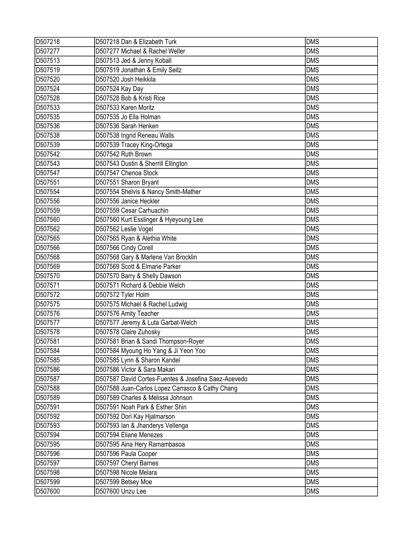| D507218 | D507218 Dan & Elizabeth Turk                         | <b>DMS</b> |
|---------|------------------------------------------------------|------------|
| D507277 | D507277 Michael & Rachel Weller                      | <b>DMS</b> |
| D507513 | D507513 Jed & Jenny Koball                           | <b>DMS</b> |
| D507519 | D507519 Jonathan & Emily Seitz                       | <b>DMS</b> |
| D507520 | D507520 Josh Heikkila                                | <b>DMS</b> |
| D507524 | D507524 Kay Day                                      | <b>DMS</b> |
| D507528 | D507528 Bob & Kristi Rice                            | <b>DMS</b> |
| D507533 | D507533 Karen Moritz                                 | <b>DMS</b> |
| D507535 | D507535 Jo Ella Holman                               | <b>DMS</b> |
| D507536 | D507536 Sarah Henken                                 | <b>DMS</b> |
| D507538 | D507538 Ingrid Reneau Walls                          | <b>DMS</b> |
| D507539 | D507539 Tracey King-Ortega                           | <b>DMS</b> |
| D507542 | D507542 Ruth Brown                                   | <b>DMS</b> |
| D507543 | D507543 Dustin & Sherrill Ellington                  | <b>DMS</b> |
| D507547 | D507547 Chenoa Stock                                 | <b>DMS</b> |
| D507551 | D507551 Sharon Bryant                                | <b>DMS</b> |
| D507554 | D507554 Shelvis & Nancy Smith-Mather                 | <b>DMS</b> |
| D507556 | D507556 Janice Heckler                               | <b>DMS</b> |
| D507559 | D507559 Cesar Carhuachin                             | <b>DMS</b> |
| D507560 | D507560 Kurt Esslinger & Hyeyoung Lee                | <b>DMS</b> |
| D507562 | D507562 Leslie Vogel                                 | <b>DMS</b> |
| D507565 | D507565 Ryan & Alethia White                         | <b>DMS</b> |
| D507566 | D507566 Cindy Corell                                 | <b>DMS</b> |
| D507568 | D507568 Gary & Marlene Van Brocklin                  | <b>DMS</b> |
| D507569 | D507569 Scott & Elmarie Parker                       | <b>DMS</b> |
| D507570 | D507570 Barry & Shelly Dawson                        | <b>DMS</b> |
| D507571 | D507571 Richard & Debbie Welch                       | <b>DMS</b> |
| D507572 | D507572 Tyler Holm                                   | <b>DMS</b> |
| D507575 | D507575 Michael & Rachel Ludwig                      | <b>DMS</b> |
| D507576 | D507576 Amity Teacher                                | <b>DMS</b> |
| D507577 | D507577 Jeremy & Luta Garbat-Welch                   | <b>DMS</b> |
| D507578 | D507578 Claire Zuhosky                               | <b>DMS</b> |
| D507581 | D507581 Brian & Sandi Thompson-Royer                 | <b>DMS</b> |
| D507584 | D507584 Myoung Ho Yang & Ji Yeon Yoo                 | <b>DMS</b> |
| D507585 | D507585 Lynn & Sharon Kandel                         | <b>DMS</b> |
| D507586 | D507586 Victor & Sara Makari                         | <b>DMS</b> |
| D507587 | D507587 David Cortes-Fuentes & Josefina Saez-Acevedo | <b>DMS</b> |
| D507588 | D507588 Juan-Carlos Lopez Carrasco & Cathy Chang     | <b>DMS</b> |
| D507589 | D507589 Charles & Melissa Johnson                    | <b>DMS</b> |
| D507591 | D507591 Noah Park & Esther Shin                      | <b>DMS</b> |
| D507592 | D507592 Dori Kay Hjalmarson                          | <b>DMS</b> |
| D507593 | D507593 Ian & Jhanderys Vellenga                     | <b>DMS</b> |
| D507594 | D507594 Eliane Menezes                               | <b>DMS</b> |
| D507595 | D507595 Aina Hery Ramambasoa                         | <b>DMS</b> |
| D507596 | D507596 Paula Cooper                                 | <b>DMS</b> |
| D507597 | D507597 Cheryl Barnes                                | <b>DMS</b> |
| D507598 | D507598 Nicole Melara                                | <b>DMS</b> |
| D507599 | D507599 Betsey Moe                                   | <b>DMS</b> |
| D507600 | D507600 Unzu Lee                                     | <b>DMS</b> |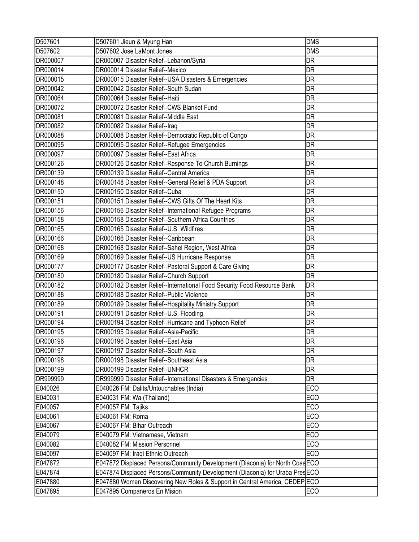| D507601  | D507601 Jieun & Myung Han                                                     | <b>DMS</b>               |
|----------|-------------------------------------------------------------------------------|--------------------------|
| D507602  | D507602 Jose LaMont Jones                                                     | <b>DMS</b>               |
| DR000007 | DR000007 Disaster Relief--Lebanon/Syria                                       | <b>DR</b>                |
| DR000014 | DR000014 Disaster Relief--Mexico                                              | DR                       |
| DR000015 | DR000015 Disaster Relief--USA Disasters & Emergencies                         | DR                       |
| DR000042 | DR000042 Disaster Relief--South Sudan                                         | $\overline{\mathsf{DR}}$ |
| DR000064 | DR000064 Disaster Relief--Haiti                                               | <b>DR</b>                |
| DR000072 | DR000072 Disaster Relief--CWS Blanket Fund                                    | DR                       |
| DR000081 | DR000081 Disaster Relief--Middle East                                         | <b>DR</b>                |
| DR000082 | DR000082 Disaster Relief--Iraq                                                | DR                       |
| DR000088 | DR000088 Disaster Relief--Democratic Republic of Congo                        | <b>DR</b>                |
| DR000095 | DR000095 Disaster Relief--Refugee Emergencies                                 | <b>DR</b>                |
| DR000097 | DR000097 Disaster Relief--East Africa                                         | <b>DR</b>                |
| DR000126 | DR000126 Disaster Relief--Response To Church Burnings                         | DR                       |
| DR000139 | DR000139 Disaster Relief--Central America                                     | <b>DR</b>                |
| DR000148 | DR000148 Disaster Relief--General Relief & PDA Support                        | <b>DR</b>                |
| DR000150 | DR000150 Disaster Relief--Cuba                                                | <b>DR</b>                |
| DR000151 | DR000151 Disaster Relief--CWS Gifts Of The Heart Kits                         | DR                       |
| DR000156 | DR000156 Disaster Relief--International Refugee Programs                      | <b>DR</b>                |
| DR000158 | DR000158 Disaster Relief--Southern Africa Countries                           | <b>DR</b>                |
| DR000165 | DR000165 Disaster Relief--U.S. Wildfires                                      | <b>DR</b>                |
| DR000166 | DR000166 Disaster Relief--Caribbean                                           | <b>DR</b>                |
| DR000168 | DR000168 Disaster Relief--Sahel Region, West Africa                           | <b>DR</b>                |
| DR000169 | DR000169 Disaster Relief--US Hurricane Response                               | DR                       |
| DR000177 | DR000177 Disaster Relief--Pastoral Support & Care Giving                      | DR                       |
| DR000180 | DR000180 Disaster Relief--Church Support                                      | <b>DR</b>                |
| DR000182 | DR000182 Disaster Relief--International Food Security Food Resource Bank      | DR                       |
| DR000188 | DR000188 Disaster Relief--Public Violence                                     | <b>DR</b>                |
| DR000189 | DR000189 Disaster Relief--Hospitality Ministry Support                        | <b>DR</b>                |
| DR000191 | DR000191 Disaster Relief--U.S. Flooding                                       | <b>DR</b>                |
| DR000194 | DR000194 Disaster Relief--Hurricane and Typhoon Relief                        | DR                       |
| DR000195 | DR000195 Disaster Relief--Asia-Pacific                                        | DR                       |
| DR000196 | DR000196 Disaster Relief--East Asia                                           | DR                       |
| DR000197 | DR000197 Disaster Relief--South Asia                                          | <b>DR</b>                |
| DR000198 | DR000198 Disaster Relief--Southeast Asia                                      | <b>DR</b>                |
| DR000199 | DR000199 Disaster Relief--UNHCR                                               | DR                       |
| DR999999 | DR999999 Disaster Relief--International Disasters & Emergencies               | <b>DR</b>                |
| E040026  | E040026 FM: Dalits/Untouchables (India)                                       | <b>ECO</b>               |
| E040031  | E040031 FM: Wa (Thailand)                                                     | <b>ECO</b>               |
| E040057  | E040057 FM: Tajiks                                                            | ECO                      |
| E040061  | E040061 FM: Roma                                                              | <b>ECO</b>               |
| E040067  | E040067 FM: Bihar Outreach                                                    | <b>ECO</b>               |
| E040079  | E040079 FM: Vietnamese, Vietnam                                               | <b>ECO</b>               |
| E040082  | E040082 FM: Mission Personnel                                                 | ECO                      |
| E040097  | E040097 FM: Iraqi Ethnic Outreach                                             | <b>ECO</b>               |
| E047872  | E047872 Displaced Persons/Community Development (Diaconia) for North Coas ECO |                          |
| E047874  | E047874 Displaced Persons/Community Development (Diaconia) for Uraba PresECO  |                          |
| E047880  | E047880 Women Discovering New Roles & Support in Central America, CEDEP ECO   |                          |
| E047895  | E047895 Companeros En Mision                                                  | <b>ECO</b>               |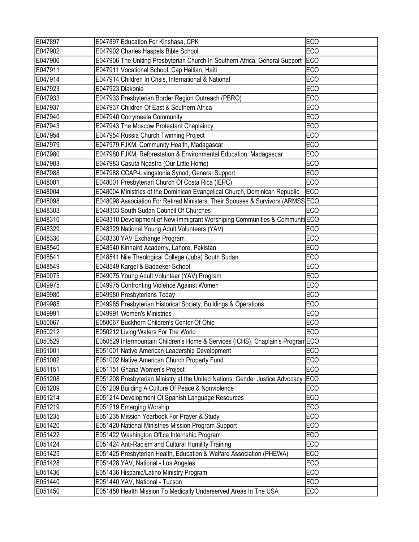| E047897 | E047897 Education For Kinshasa, CPK                                             | <b>ECO</b>      |
|---------|---------------------------------------------------------------------------------|-----------------|
| E047902 | E047902 Charles Haspels Bible School                                            | <b>ECO</b>      |
| E047906 | E047906 The Uniting Presbyterian Church In Southern Africa, General Support     | <b>ECO</b>      |
| E047911 | E047911 Vocational School, Cap Haitian, Haiti                                   | <b>ECO</b>      |
| E047914 | E047914 Children In Crisis, International & National                            | <b>ECO</b>      |
| E047923 | E047923 Diakonie                                                                | <b>ECO</b>      |
| E047933 | E047933 Presbyterian Border Region Outreach (PBRO)                              | <b>ECO</b>      |
| E047937 | E047937 Children Of East & Southern Africa                                      | <b>ECO</b>      |
| E047940 | E047940 Corrymeela Community                                                    | <b>ECO</b>      |
| E047943 | E047943 The Moscow Protestant Chaplaincy                                        | <b>ECO</b>      |
| E047954 | E047954 Russia Church Twinning Project                                          | <b>ECO</b>      |
| E047979 | E047979 FJKM, Community Health, Madagascar                                      | <b>ECO</b>      |
| E047980 | E047980 FJKM, Reforestation & Environmental Education, Madagascar               | <b>ECO</b>      |
| E047983 | E047983 Casuta Noastra (Our Little Home)                                        | <b>ECO</b>      |
| E047988 | E047988 CCAP-Livingstonia Synod, General Support                                | <b>ECO</b>      |
| E048001 | E048001 Presbyterian Church Of Costa Rica (IEPC)                                | <b>ECO</b>      |
| E048004 | E048004 Ministries of the Dominican Evangelical Church, Dominican Republic      | EC <sub>O</sub> |
| E048098 | E048098 Association For Retired Ministers, Their Spouses & Survivors (ARMSS ECO |                 |
| E048303 | E048303 South Sudan Council Of Churches                                         | <b>ECO</b>      |
| E048310 | E048310 Development of New Immigrant Worshiping Communities & Communiti ECO     |                 |
| E048329 | E048329 National Young Adult Volunteers (YAV)                                   | <b>ECO</b>      |
| E048330 | E048330 YAV Exchange Program                                                    | <b>ECO</b>      |
| E048540 | E048540 Kinnaird Academy, Lahore, Pakistan                                      | <b>ECO</b>      |
| E048541 | E048541 Nile Theological College (Juba) South Sudan                             | <b>ECO</b>      |
| E048549 | E048549 Kargel & Badaeker School                                                | <b>ECO</b>      |
| E049075 | E049075 Young Adult Volunteer (YAV) Program                                     | <b>ECO</b>      |
| E049975 | E049975 Confronting Violence Against Women                                      | <b>ECO</b>      |
| E049980 | E049980 Presbyterians Today                                                     | <b>ECO</b>      |
| E049985 | E049985 Presbyterian Historical Society, Buildings & Operations                 | <b>ECO</b>      |
| E049991 | E049991 Women's Ministries                                                      | <b>ECO</b>      |
| E050067 | E050067 Buckhorn Children's Center Of Ohio                                      | <b>ECO</b>      |
| E050212 | E050212 Living Waters For The World                                             | <b>ECO</b>      |
| E050529 | E050529 Intermountain Children's Home & Services (ICHS), Chaplain's Program ECO |                 |
| E051001 | E051001 Native American Leadership Development                                  | <b>ECO</b>      |
| E051002 | E051002 Native American Church Property Fund                                    | <b>ECO</b>      |
| E051151 | E051151 Ghana Women's Project                                                   | <b>ECO</b>      |
| E051208 | E051208 Presbyterian Ministry at the United Nations, Gender Justice Advocacy    | EC <sub>O</sub> |
| E051209 | E051209 Building A Culture Of Peace & Nonviolence                               | <b>ECO</b>      |
| E051214 | E051214 Development Of Spanish Language Resources                               | <b>ECO</b>      |
| E051219 | E051219 Emerging Worship                                                        | <b>ECO</b>      |
| E051235 | E051235 Mission Yearbook For Prayer & Study                                     | <b>ECO</b>      |
| E051420 | E051420 National Ministries Mission Program Support                             | <b>ECO</b>      |
| E051422 | E051422 Washington Office Internship Program                                    | <b>ECO</b>      |
| E051424 | E051424 Anti-Racism and Cultural Humility Training                              | <b>ECO</b>      |
| E051425 | E051425 Presbyterian Health, Education & Welfare Association (PHEWA)            | <b>ECO</b>      |
| E051428 | E051428 YAV, National - Los Angeles                                             | <b>ECO</b>      |
| E051436 | E051436 Hispanic/Latino Ministry Program                                        | <b>ECO</b>      |
| E051440 | E051440 YAV, National - Tucson                                                  | <b>ECO</b>      |
| E051450 | E051450 Health Mission To Medically Underserved Areas In The USA                | <b>ECO</b>      |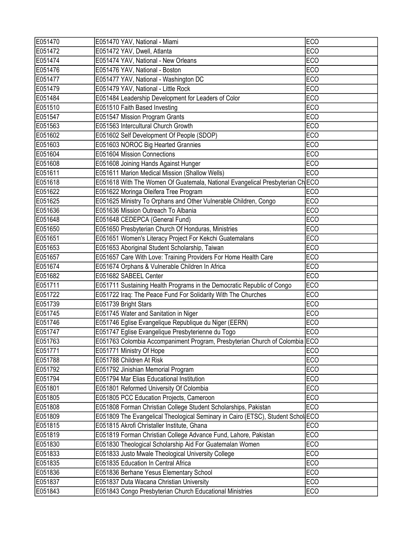| E051470 | E051470 YAV, National - Miami                                                   | <b>ECO</b> |
|---------|---------------------------------------------------------------------------------|------------|
| E051472 | E051472 YAV, Dwell, Atlanta                                                     | <b>ECO</b> |
| E051474 | E051474 YAV, National - New Orleans                                             | <b>ECO</b> |
| E051476 | E051476 YAV, National - Boston                                                  | <b>ECO</b> |
| E051477 | E051477 YAV, National - Washington DC                                           | <b>ECO</b> |
| E051479 | E051479 YAV, National - Little Rock                                             | <b>ECO</b> |
| E051484 | E051484 Leadership Development for Leaders of Color                             | <b>ECO</b> |
| E051510 | E051510 Faith Based Investing                                                   | <b>ECO</b> |
| E051547 | E051547 Mission Program Grants                                                  | <b>ECO</b> |
| E051563 | E051563 Intercultural Church Growth                                             | <b>ECO</b> |
| E051602 | E051602 Self Development Of People (SDOP)                                       | <b>ECO</b> |
| E051603 | E051603 NOROC Big Hearted Grannies                                              | <b>ECO</b> |
| E051604 | E051604 Mission Connections                                                     | <b>ECO</b> |
| E051608 | E051608 Joining Hands Against Hunger                                            | <b>ECO</b> |
| E051611 | E051611 Marion Medical Mission (Shallow Wells)                                  | <b>ECO</b> |
| E051618 | E051618 With The Women Of Guatemala, National Evangelical Presbyterian Ch ECO   |            |
| E051622 | E051622 Moringa Oleifera Tree Program                                           | <b>ECO</b> |
| E051625 | E051625 Ministry To Orphans and Other Vulnerable Children, Congo                | <b>ECO</b> |
| E051636 | E051636 Mission Outreach To Albania                                             | <b>ECO</b> |
| E051648 | E051648 CEDEPCA (General Fund)                                                  | <b>ECO</b> |
| E051650 | E051650 Presbyterian Church Of Honduras, Ministries                             | <b>ECO</b> |
| E051651 | E051651 Women's Literacy Project For Kekchi Guatemalans                         | <b>ECO</b> |
| E051653 | E051653 Aboriginal Student Scholarship, Taiwan                                  | <b>ECO</b> |
| E051657 | E051657 Care With Love: Training Providers For Home Health Care                 | <b>ECO</b> |
| E051674 | E051674 Orphans & Vulnerable Children In Africa                                 | <b>ECO</b> |
| E051682 | E051682 SABEEL Center                                                           | <b>ECO</b> |
| E051711 | E051711 Sustaining Health Programs in the Democratic Republic of Congo          | <b>ECO</b> |
| E051722 | E051722 Iraq: The Peace Fund For Solidarity With The Churches                   | <b>ECO</b> |
| E051739 | E051739 Bright Stars                                                            | <b>ECO</b> |
| E051745 | E051745 Water and Sanitation in Niger                                           | <b>ECO</b> |
| E051746 | E051746 Eglise Evangelique Republique du Niger (EERN)                           | <b>ECO</b> |
| E051747 | E051747 Eglise Evangelique Presbyterienne du Togo                               | <b>ECO</b> |
| E051763 | E051763 Colombia Accompaniment Program, Presbyterian Church of Colombia ECO     |            |
| E051771 | E051771 Ministry Of Hope                                                        | <b>ECO</b> |
| E051788 | E051788 Children At Risk                                                        | <b>ECO</b> |
| E051792 | E051792 Jinishian Memorial Program                                              | <b>ECO</b> |
| E051794 | E051794 Mar Elias Educational Institution                                       | <b>ECO</b> |
| E051801 | E051801 Reformed University Of Colombia                                         | <b>ECO</b> |
| E051805 | E051805 PCC Education Projects, Cameroon                                        | <b>ECO</b> |
| E051808 | E051808 Forman Christian College Student Scholarships, Pakistan                 | <b>ECO</b> |
| E051809 | E051809 The Evangelical Theological Seminary in Cairo (ETSC), Student Schol ECO |            |
| E051815 | E051815 Akrofi Christaller Institute, Ghana                                     | <b>ECO</b> |
| E051819 | E051819 Forman Christian College Advance Fund, Lahore, Pakistan                 | <b>ECO</b> |
| E051830 | E051830 Theological Scholarship Aid For Guatemalan Women                        | <b>ECO</b> |
| E051833 | E051833 Justo Mwale Theological University College                              | <b>ECO</b> |
| E051835 | E051835 Education In Central Africa                                             | <b>ECO</b> |
| E051836 | E051836 Berhane Yesus Elementary School                                         | <b>ECO</b> |
| E051837 | E051837 Duta Wacana Christian University                                        | <b>ECO</b> |
| E051843 | E051843 Congo Presbyterian Church Educational Ministries                        | <b>ECO</b> |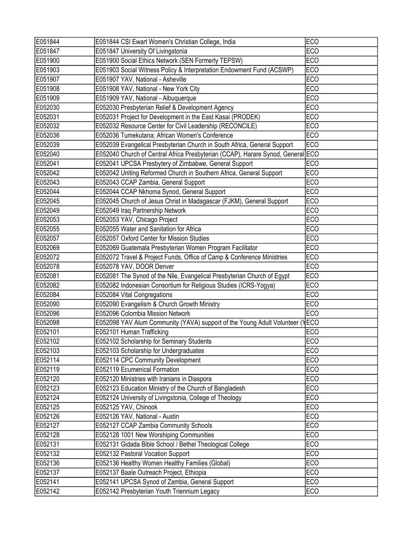| E051844 | E051844 CSI Ewart Women's Christian College, India                              | <b>ECO</b> |
|---------|---------------------------------------------------------------------------------|------------|
| E051847 | E051847 University Of Livingstonia                                              | ECO        |
| E051900 | E051900 Social Ethics Network (SEN Formerly TEPSW)                              | <b>ECO</b> |
| E051903 | E051903 Social Witness Policy & Interpretation Endowment Fund (ACSWP)           | <b>ECO</b> |
| E051907 | E051907 YAV, National - Asheville                                               | <b>ECO</b> |
| E051908 | E051908 YAV, National - New York City                                           | <b>ECO</b> |
| E051909 | E051909 YAV, National - Albuquerque                                             | <b>ECO</b> |
| E052030 | E052030 Presbyterian Relief & Development Agency                                | ECO        |
| E052031 | E052031 Project for Development in the East Kasai (PRODEK)                      | <b>ECO</b> |
| E052032 | E052032 Resource Center for Civil Leadership (RECONCILE)                        | <b>ECO</b> |
| E052036 | E052036 Tumekutana; African Women's Conference                                  | <b>ECO</b> |
| E052039 | E052039 Evangelical Presbyterian Church in South Africa, General Support        | <b>ECO</b> |
| E052040 | E052040 Church of Central Africa Presbyterian (CCAP), Harare Synod, General ECO |            |
| E052041 | E052041 UPCSA Presbytery of Zimbabwe, General Support                           | <b>ECO</b> |
| E052042 | E052042 Uniting Reformed Church in Southern Africa, General Support             | <b>ECO</b> |
| E052043 | E052043 CCAP Zambia, General Support                                            | <b>ECO</b> |
| E052044 | E052044 CCAP Nkhoma Synod, General Support                                      | <b>ECO</b> |
| E052045 | E052045 Church of Jesus Christ in Madagascar (FJKM), General Support            | <b>ECO</b> |
| E052049 | E052049 Iraq Partnership Network                                                | <b>ECO</b> |
| E052053 | E052053 YAV, Chicago Project                                                    | <b>ECO</b> |
| E052055 | E052055 Water and Sanitation for Africa                                         | <b>ECO</b> |
| E052057 | E052057 Oxford Center for Mission Studies                                       | <b>ECO</b> |
| E052069 | E052069 Guatemala Presbyterian Women Program Facilitator                        | <b>ECO</b> |
| E052072 | E052072 Travel & Project Funds, Office of Camp & Conference Ministries          | <b>ECO</b> |
| E052078 | E052078 YAV, DOOR Denver                                                        | <b>ECO</b> |
| E052081 | E052081 The Synod of the Nile, Evangelical Presbyterian Church of Egypt         | <b>ECO</b> |
| E052082 | E052082 Indonesian Consortium for Religious Studies (ICRS-Yogya)                | <b>ECO</b> |
| E052084 | E052084 Vital Congregations                                                     | <b>ECO</b> |
| E052090 | E052090 Evangelism & Church Growth Ministry                                     | <b>ECO</b> |
| E052096 | E052096 Colombia Mission Network                                                | <b>ECO</b> |
| E052098 | E052098 YAV Alum Community (YAVA) support of the Young Adult Volunteer (YECO    |            |
| E052101 | E052101 Human Trafficking                                                       | <b>ECO</b> |
| E052102 | E052102 Scholarship for Seminary Students                                       | ECO        |
| E052103 | E052103 Scholarship for Undergraduates                                          | <b>ECO</b> |
| E052114 | E052114 CPC Community Development                                               | ECO        |
| E052119 | E052119 Ecumenical Formation                                                    | <b>ECO</b> |
| E052120 | E052120 Ministries with Iranians in Diaspora                                    | <b>ECO</b> |
| E052123 | E052123 Education Ministry of the Church of Bangladesh                          | <b>ECO</b> |
| E052124 | E052124 University of Livingstonia, College of Theology                         | <b>ECO</b> |
| E052125 | E052125 YAV, Chinook                                                            | <b>ECO</b> |
| E052126 | E052126 YAV, National - Austin                                                  | <b>ECO</b> |
| E052127 | E052127 CCAP Zambia Community Schools                                           | <b>ECO</b> |
| E052128 | E052128 1001 New Worshiping Communities                                         | ECO        |
| E052131 | E052131 Gidada Bible School / Bethel Theological College                        | <b>ECO</b> |
| E052132 | E052132 Pastoral Vocation Support                                               | <b>ECO</b> |
| E052136 | E052136 Healthy Women Healthy Families (Global)                                 | <b>ECO</b> |
| E052137 | E052137 Baale Outreach Project, Ethiopia                                        | <b>ECO</b> |
| E052141 | E052141 UPCSA Synod of Zambia, General Support                                  | <b>ECO</b> |
| E052142 | E052142 Presbyterian Youth Triennium Legacy                                     | <b>ECO</b> |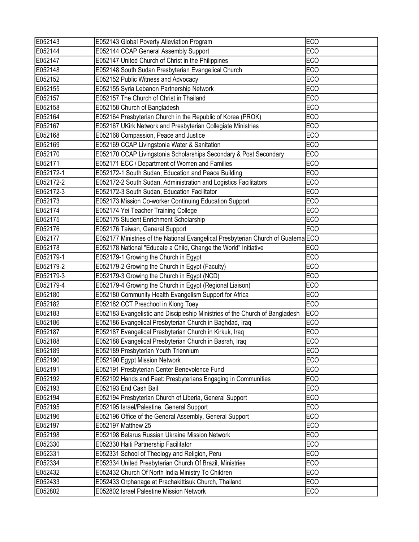| E052143   | E052143 Global Poverty Alleviation Program                                        | <b>ECO</b> |
|-----------|-----------------------------------------------------------------------------------|------------|
| E052144   | E052144 CCAP General Assembly Support                                             | <b>ECO</b> |
| E052147   | E052147 United Church of Christ in the Philippines                                | <b>ECO</b> |
| E052148   | E052148 South Sudan Presbyterian Evangelical Church                               | <b>ECO</b> |
| E052152   | E052152 Public Witness and Advocacy                                               | ECO        |
| E052155   | E052155 Syria Lebanon Partnership Network                                         | <b>ECO</b> |
| E052157   | E052157 The Church of Christ in Thailand                                          | <b>ECO</b> |
| E052158   | E052158 Church of Bangladesh                                                      | ECO        |
| E052164   | E052164 Presbyterian Church in the Republic of Korea (PROK)                       | <b>ECO</b> |
| E052167   | E052167 UKirk Network and Presbyterian Collegiate Ministries                      | <b>ECO</b> |
| E052168   | E052168 Compassion, Peace and Justice                                             | <b>ECO</b> |
| E052169   | E052169 CCAP Livingstonia Water & Sanitation                                      | <b>ECO</b> |
| E052170   | E052170 CCAP Livingstonia Scholarships Secondary & Post Secondary                 | <b>ECO</b> |
| E052171   | E052171 ECC / Department of Women and Families                                    | <b>ECO</b> |
| E052172-1 | E052172-1 South Sudan, Education and Peace Building                               | <b>ECO</b> |
| E052172-2 | E052172-2 South Sudan, Administration and Logistics Facilitators                  | <b>ECO</b> |
| E052172-3 | E052172-3 South Sudan, Education Facilitator                                      | <b>ECO</b> |
| E052173   | E052173 Mission Co-worker Continuing Education Support                            | <b>ECO</b> |
| E052174   | E052174 Yei Teacher Training College                                              | <b>ECO</b> |
| E052175   | E052175 Student Enrichment Scholarship                                            | <b>ECO</b> |
| E052176   | E052176 Taiwan, General Support                                                   | <b>ECO</b> |
| E052177   | E052177 Ministries of the National Evangelical Presbyterian Church of Guatema ECO |            |
| E052178   | E052178 National "Educate a Child, Change the World" Initiative                   | <b>ECO</b> |
| E052179-1 | E052179-1 Growing the Church in Egypt                                             | <b>ECO</b> |
| E052179-2 | E052179-2 Growing the Church in Egypt (Faculty)                                   | ECO        |
| E052179-3 | E052179-3 Growing the Church in Egypt (NCD)                                       | <b>ECO</b> |
| E052179-4 | E052179-4 Growing the Church in Egypt (Regional Liaison)                          | <b>ECO</b> |
| E052180   | E052180 Community Health Evangelism Support for Africa                            | <b>ECO</b> |
| E052182   | E052182 CCT Preschool in Klong Toey                                               | <b>ECO</b> |
| E052183   | E052183 Evangelistic and Discipleship Ministries of the Church of Bangladesh      | <b>ECO</b> |
| E052186   | E052186 Evangelical Presbyterian Church in Baghdad, Iraq                          | <b>ECO</b> |
| E052187   | E052187 Evangelical Presbyterian Church in Kirkuk, Iraq                           | <b>ECO</b> |
| E052188   | E052188 Evangelical Presbyterian Church in Basrah, Iraq                           | <b>ECO</b> |
| E052189   | E052189 Presbyterian Youth Triennium                                              | ECO        |
| E052190   | E052190 Egypt Mission Network                                                     | <b>ECO</b> |
| E052191   | E052191 Presbyterian Center Benevolence Fund                                      | <b>ECO</b> |
| E052192   | E052192 Hands and Feet: Presbyterians Engaging in Communities                     | <b>ECO</b> |
| E052193   | E052193 End Cash Bail                                                             | <b>ECO</b> |
| E052194   | E052194 Presbyterian Church of Liberia, General Support                           | <b>ECO</b> |
| E052195   | E052195 Israel/Palestine, General Support                                         | <b>ECO</b> |
| E052196   | E052196 Office of the General Assembly, General Support                           | <b>ECO</b> |
| E052197   | E052197 Matthew 25                                                                | <b>ECO</b> |
| E052198   | E052198 Belarus Russian Ukraine Mission Network                                   | <b>ECO</b> |
| E052330   | E052330 Haiti Partnership Facilitator                                             | <b>ECO</b> |
| E052331   | E052331 School of Theology and Religion, Peru                                     | <b>ECO</b> |
| E052334   | E052334 United Presbyterian Church Of Brazil, Ministries                          | <b>ECO</b> |
| E052432   | E052432 Church Of North India Ministry To Children                                | <b>ECO</b> |
| E052433   | E052433 Orphanage at Prachakittisuk Church, Thailand                              | <b>ECO</b> |
| E052802   | E052802 Israel Palestine Mission Network                                          | <b>ECO</b> |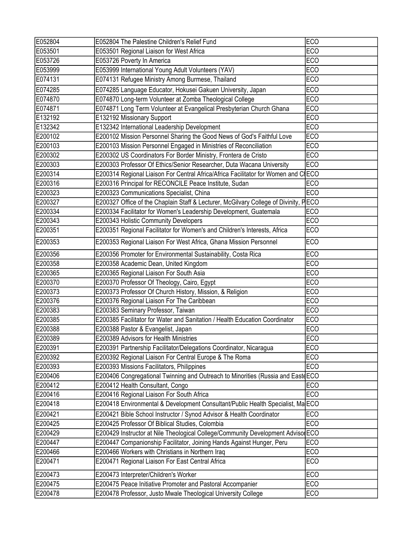| E052804 | E052804 The Palestine Children's Relief Fund                                         | <b>ECO</b> |
|---------|--------------------------------------------------------------------------------------|------------|
| E053501 | E053501 Regional Liaison for West Africa                                             | <b>ECO</b> |
| E053726 | E053726 Poverty In America                                                           | <b>ECO</b> |
| E053999 | E053999 International Young Adult Volunteers (YAV)                                   | <b>ECO</b> |
| E074131 | E074131 Refugee Ministry Among Burmese, Thailand                                     | <b>ECO</b> |
| E074285 | E074285 Language Educator, Hokusei Gakuen University, Japan                          | <b>ECO</b> |
| E074870 | E074870 Long-term Volunteer at Zomba Theological College                             | <b>ECO</b> |
| E074871 | E074871 Long Term Volunteer at Evangelical Presbyterian Church Ghana                 | <b>ECO</b> |
| E132192 | E132192 Missionary Support                                                           | <b>ECO</b> |
| E132342 | E132342 International Leadership Development                                         | <b>ECO</b> |
| E200102 | E200102 Mission Personnel Sharing the Good News of God's Faithful Love               | <b>ECO</b> |
| E200103 | E200103 Mission Personnel Engaged in Ministries of Reconciliation                    | <b>ECO</b> |
| E200302 | E200302 US Coordinators For Border Ministry, Frontera de Cristo                      | <b>ECO</b> |
| E200303 | E200303 Professor Of Ethics/Senior Researcher, Duta Wacana University                | <b>ECO</b> |
| E200314 | E200314 Regional Liaison For Central Africa/Africa Facilitator for Women and CIECO   |            |
| E200316 | E200316 Principal for RECONCILE Peace Institute, Sudan                               | <b>ECO</b> |
| E200323 | E200323 Communications Specialist, China                                             | <b>ECO</b> |
| E200327 | E200327 Office of the Chaplain Staff & Lecturer, McGilvary College of Divinity, PECO |            |
| E200334 | E200334 Facilitator for Women's Leadership Development, Guatemala                    | <b>ECO</b> |
| E200343 | E200343 Holistic Community Developers                                                | <b>ECO</b> |
| E200351 | E200351 Regional Facilitator for Women's and Children's Interests, Africa            | <b>ECO</b> |
| E200353 | E200353 Regional Liaison For West Africa, Ghana Mission Personnel                    | <b>ECO</b> |
| E200356 | E200356 Promoter for Environmental Sustainability, Costa Rica                        | <b>ECO</b> |
| E200358 | E200358 Academic Dean, United Kingdom                                                | <b>ECO</b> |
| E200365 | E200365 Regional Liaison For South Asia                                              | <b>ECO</b> |
| E200370 | E200370 Professor Of Theology, Cairo, Egypt                                          | <b>ECO</b> |
| E200373 | E200373 Professor Of Church History, Mission, & Religion                             | <b>ECO</b> |
| E200376 | E200376 Regional Liaison For The Caribbean                                           | <b>ECO</b> |
| E200383 | E200383 Seminary Professor, Taiwan                                                   | <b>ECO</b> |
| E200385 | E200385 Facilitator for Water and Sanitation / Health Education Coordinator          | <b>ECO</b> |
| E200388 | E200388 Pastor & Evangelist, Japan                                                   | ECO        |
| E200389 | E200389 Advisors for Health Ministries                                               | <b>ECO</b> |
| E200391 | E200391 Partnership Facilitator/Delegations Coordinator, Nicaragua                   | <b>ECO</b> |
| E200392 | E200392 Regional Liaison For Central Europe & The Roma                               | <b>ECO</b> |
| E200393 | E200393 Missions Facilitators, Philippines                                           | <b>ECO</b> |
| E200406 | E200406 Congregational Twinning and Outreach to Minorities (Russia and Easte ECO     |            |
| E200412 | E200412 Health Consultant, Congo                                                     | <b>ECO</b> |
| E200416 | E200416 Regional Liaison For South Africa                                            | <b>ECO</b> |
| E200418 | E200418 Environmental & Development Consultant/Public Health Specialist, Ma ECO      |            |
| E200421 | E200421 Bible School Instructor / Synod Advisor & Health Coordinator                 | <b>ECO</b> |
| E200425 | E200425 Professor Of Biblical Studies, Colombia                                      | <b>ECO</b> |
| E200429 | E200429 Instructor at Nile Theological College/Community Development Advisor ECO     |            |
| E200447 | E200447 Companionship Facilitator, Joining Hands Against Hunger, Peru                | ECO        |
| E200466 | E200466 Workers with Christians in Northern Iraq                                     | <b>ECO</b> |
| E200471 | E200471 Regional Liaison For East Central Africa                                     | <b>ECO</b> |
| E200473 | E200473 Interpreter/Children's Worker                                                | <b>ECO</b> |
| E200475 | E200475 Peace Initiative Promoter and Pastoral Accompanier                           | <b>ECO</b> |
| E200478 | E200478 Professor, Justo Mwale Theological University College                        | <b>ECO</b> |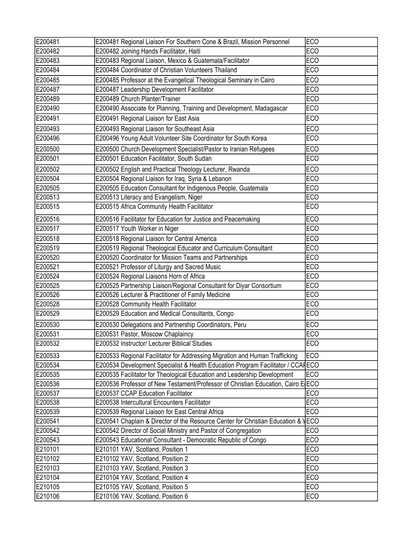| E200481 | E200481 Regional Liaison For Southern Cone & Brazil, Mission Personnel            | <b>ECO</b> |
|---------|-----------------------------------------------------------------------------------|------------|
| E200482 | E200482 Joining Hands Facilitator, Haiti                                          | <b>ECO</b> |
| E200483 | E200483 Regional Liaison, Mexico & Guatemala/Facilitator                          | <b>ECO</b> |
| E200484 | E200484 Coordinator of Christian Volunteers Thailand                              | <b>ECO</b> |
| E200485 | E200485 Professor at the Evangelical Theological Seminary in Cairo                | <b>ECO</b> |
| E200487 | E200487 Leadership Development Facilitator                                        | <b>ECO</b> |
| E200489 | E200489 Church Planter/Trainer                                                    | <b>ECO</b> |
| E200490 | E200490 Associate for Planning, Training and Development, Madagascar              | <b>ECO</b> |
| E200491 | E200491 Regional Liaison for East Asia                                            | <b>ECO</b> |
| E200493 | E200493 Regional Liaison for Southeast Asia                                       | <b>ECO</b> |
| E200496 | E200496 Young Adult Volunteer Site Coordinator for South Korea                    | <b>ECO</b> |
| E200500 | E200500 Church Development Specialist/Pastor to Iranian Refugees                  | <b>ECO</b> |
| E200501 | E200501 Education Facilitator, South Sudan                                        | <b>ECO</b> |
| E200502 | E200502 English and Practical Theology Lecturer, Rwanda                           | <b>ECO</b> |
| E200504 | E200504 Regional Liaison for Iraq, Syria & Lebanon                                | <b>ECO</b> |
| E200505 | E200505 Education Consultant for Indigenous People, Guatemala                     | <b>ECO</b> |
| E200513 | E200513 Literacy and Evangelism, Niger                                            | <b>ECO</b> |
| E200515 | E200515 Africa Community Health Facilitator                                       | <b>ECO</b> |
| E200516 | E200516 Facilitator for Education for Justice and Peacemaking                     | <b>ECO</b> |
| E200517 | E200517 Youth Worker in Niger                                                     | <b>ECO</b> |
| E200518 | E200518 Regional Liaison for Central America                                      | <b>ECO</b> |
| E200519 | E200519 Regional Theological Educator and Curriculum Consultant                   | <b>ECO</b> |
| E200520 | E200520 Coordinator for Mission Teams and Partnerships                            | <b>ECO</b> |
| E200521 | E200521 Professor of Liturgy and Sacred Music                                     | <b>ECO</b> |
| E200524 | E200524 Regional Liaisons Horn of Africa                                          | <b>ECO</b> |
| E200525 | E200525 Partnership Liaison/Regional Consultant for Diyar Consortium              | <b>ECO</b> |
| E200526 | E200526 Lecturer & Practitioner of Family Medicine                                | <b>ECO</b> |
| E200528 | E200528 Community Health Facilitator                                              | <b>ECO</b> |
| E200529 | E200529 Education and Medical Consultants, Congo                                  | <b>ECO</b> |
| E200530 | E200530 Delegations and Partnership Coordinators, Peru                            | <b>ECO</b> |
| E200531 | E200531 Pastor, Moscow Chaplaincy                                                 | <b>ECO</b> |
| E200532 | E200532 Instructor/ Lecturer Biblical Studies                                     | ECO        |
| E200533 | E200533 Regional Facilitator for Addressing Migration and Human Trafficking       | <b>ECO</b> |
| E200534 | E200534 Development Specialist & Health Education Program Facilitator / CCAFECO   |            |
| E200535 | E200535 Facilitator for Theological Education and Leadership Development          | <b>ECO</b> |
| E200536 | E200536 Professor of New Testament/Professor of Christian Education, Cairo E ECO  |            |
| E200537 | E200537 CCAP Education Facilitator                                                | <b>ECO</b> |
| E200538 | E200538 Intercultural Encounters Facilitator                                      | <b>ECO</b> |
| E200539 | E200539 Regional Liaison for East Central Africa                                  | <b>ECO</b> |
| E200541 | E200541 Chaplain & Director of the Resource Center for Christian Education & VECO |            |
| E200542 | E200542 Director of Social Ministry and Pastor of Congregation                    | <b>ECO</b> |
| E200543 | E200543 Educational Consultant - Democratic Republic of Congo                     | <b>ECO</b> |
| E210101 | E210101 YAV, Scotland, Position 1                                                 | <b>ECO</b> |
| E210102 | E210102 YAV, Scotland, Position 2                                                 | <b>ECO</b> |
| E210103 | E210103 YAV, Scotland, Position 3                                                 | <b>ECO</b> |
| E210104 | E210104 YAV, Scotland, Position 4                                                 | <b>ECO</b> |
| E210105 | E210105 YAV, Scotland, Position 5                                                 | <b>ECO</b> |
| E210106 | E210106 YAV, Scotland, Position 6                                                 | <b>ECO</b> |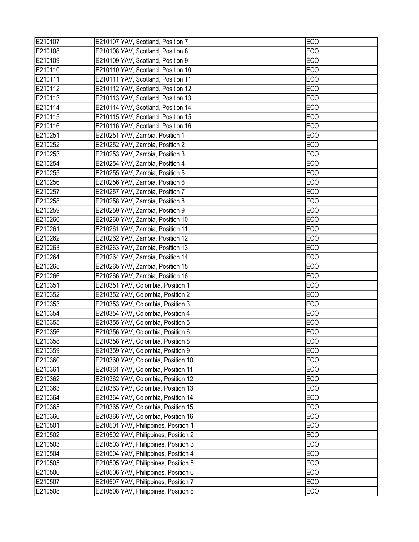| E210107 | E210107 YAV, Scotland, Position 7    | <b>ECO</b> |
|---------|--------------------------------------|------------|
| E210108 | E210108 YAV, Scotland, Position 8    | <b>ECO</b> |
| E210109 | E210109 YAV, Scotland, Position 9    | <b>ECO</b> |
| E210110 | E210110 YAV, Scotland, Position 10   | <b>ECO</b> |
| E210111 | E210111 YAV, Scotland, Position 11   | <b>ECO</b> |
| E210112 | E210112 YAV, Scotland, Position 12   | <b>ECO</b> |
| E210113 | E210113 YAV, Scotland, Position 13   | <b>ECO</b> |
| E210114 | E210114 YAV, Scotland, Position 14   | <b>ECO</b> |
| E210115 | E210115 YAV, Scotland, Position 15   | <b>ECO</b> |
| E210116 | E210116 YAV, Scotland, Position 16   | <b>ECO</b> |
| E210251 | E210251 YAV, Zambia, Position 1      | <b>ECO</b> |
| E210252 | E210252 YAV, Zambia, Position 2      | <b>ECO</b> |
| E210253 | E210253 YAV, Zambia, Position 3      | <b>ECO</b> |
| E210254 | E210254 YAV, Zambia, Position 4      | <b>ECO</b> |
| E210255 | E210255 YAV, Zambia, Position 5      | <b>ECO</b> |
| E210256 | E210256 YAV, Zambia, Position 6      | <b>ECO</b> |
| E210257 | E210257 YAV, Zambia, Position 7      | <b>ECO</b> |
| E210258 | E210258 YAV, Zambia, Position 8      | <b>ECO</b> |
| E210259 | E210259 YAV, Zambia, Position 9      | <b>ECO</b> |
| E210260 | E210260 YAV, Zambia, Position 10     | <b>ECO</b> |
| E210261 | E210261 YAV, Zambia, Position 11     | <b>ECO</b> |
| E210262 | E210262 YAV, Zambia, Position 12     | <b>ECO</b> |
| E210263 | E210263 YAV, Zambia, Position 13     | <b>ECO</b> |
| E210264 | E210264 YAV, Zambia, Position 14     | <b>ECO</b> |
| E210265 | E210265 YAV, Zambia, Position 15     | <b>ECO</b> |
| E210266 | E210266 YAV, Zambia, Position 16     | <b>ECO</b> |
| E210351 | E210351 YAV, Colombia, Position 1    | <b>ECO</b> |
| E210352 | E210352 YAV, Colombia, Position 2    | <b>ECO</b> |
| E210353 | E210353 YAV, Colombia, Position 3    | <b>ECO</b> |
| E210354 | E210354 YAV, Colombia, Position 4    | <b>ECO</b> |
| E210355 | E210355 YAV, Colombia, Position 5    | <b>ECO</b> |
| E210356 | E210356 YAV, Colombia, Position 6    | <b>ECO</b> |
| E210358 | E210358 YAV, Colombia, Position 8    | ECO        |
| E210359 | E210359 YAV, Colombia, Position 9    | ECO        |
| E210360 | E210360 YAV, Colombia, Position 10   | <b>ECO</b> |
| E210361 | E210361 YAV, Colombia, Position 11   | <b>ECO</b> |
| E210362 | E210362 YAV, Colombia, Position 12   | <b>ECO</b> |
| E210363 | E210363 YAV, Colombia, Position 13   | <b>ECO</b> |
| E210364 | E210364 YAV, Colombia, Position 14   | <b>ECO</b> |
| E210365 | E210365 YAV, Colombia, Position 15   | <b>ECO</b> |
| E210366 | E210366 YAV, Colombia, Position 16   | <b>ECO</b> |
| E210501 | E210501 YAV, Philippines, Position 1 | <b>ECO</b> |
| E210502 | E210502 YAV, Philippines, Position 2 | <b>ECO</b> |
| E210503 | E210503 YAV, Philippines, Position 3 | <b>ECO</b> |
| E210504 | E210504 YAV, Philippines, Position 4 | <b>ECO</b> |
| E210505 | E210505 YAV, Philippines, Position 5 | <b>ECO</b> |
| E210506 | E210506 YAV, Philippines, Position 6 | <b>ECO</b> |
| E210507 | E210507 YAV, Philippines, Position 7 | <b>ECO</b> |
| E210508 | E210508 YAV, Philippines, Position 8 | <b>ECO</b> |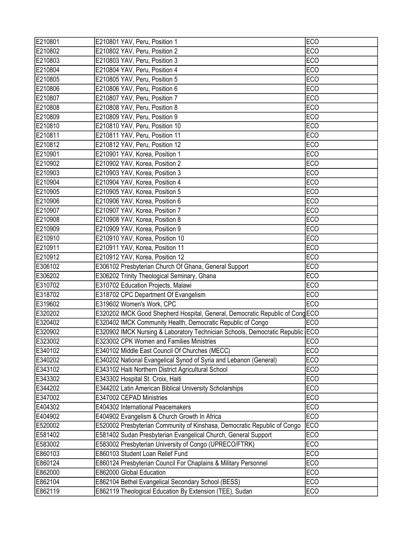| E210801 | E210801 YAV, Peru, Position 1                                                 | <b>ECO</b>      |
|---------|-------------------------------------------------------------------------------|-----------------|
| E210802 | E210802 YAV, Peru, Position 2                                                 | <b>ECO</b>      |
| E210803 | E210803 YAV, Peru, Position 3                                                 | <b>ECO</b>      |
| E210804 | E210804 YAV, Peru, Position 4                                                 | <b>ECO</b>      |
| E210805 | E210805 YAV, Peru, Position 5                                                 | <b>ECO</b>      |
| E210806 | E210806 YAV, Peru, Position 6                                                 | <b>ECO</b>      |
| E210807 | E210807 YAV, Peru, Position 7                                                 | <b>ECO</b>      |
| E210808 | E210808 YAV, Peru, Position 8                                                 | <b>ECO</b>      |
| E210809 | E210809 YAV, Peru, Position 9                                                 | <b>ECO</b>      |
| E210810 | E210810 YAV, Peru, Position 10                                                | <b>ECO</b>      |
| E210811 | E210811 YAV, Peru, Position 11                                                | ECO             |
| E210812 | E210812 YAV, Peru, Position 12                                                | <b>ECO</b>      |
| E210901 | E210901 YAV, Korea, Position 1                                                | <b>ECO</b>      |
| E210902 | E210902 YAV, Korea, Position 2                                                | <b>ECO</b>      |
| E210903 | E210903 YAV, Korea, Position 3                                                | <b>ECO</b>      |
| E210904 | E210904 YAV, Korea, Position 4                                                | <b>ECO</b>      |
| E210905 | E210905 YAV, Korea, Position 5                                                | <b>ECO</b>      |
| E210906 | E210906 YAV, Korea, Position 6                                                | <b>ECO</b>      |
| E210907 | E210907 YAV, Korea, Position 7                                                | ECO             |
| E210908 | E210908 YAV, Korea, Position 8                                                | <b>ECO</b>      |
| E210909 | E210909 YAV, Korea, Position 9                                                | ECO             |
| E210910 | E210910 YAV, Korea, Position 10                                               | <b>ECO</b>      |
| E210911 | E210911 YAV, Korea, Position 11                                               | <b>ECO</b>      |
| E210912 | E210912 YAV, Korea, Position 12                                               | <b>ECO</b>      |
| E306102 | E306102 Presbyterian Church Of Ghana, General Support                         | ECO             |
| E306202 | E306202 Trinity Theological Seminary, Ghana                                   | <b>ECO</b>      |
| E310702 | E310702 Education Projects, Malawi                                            | <b>ECO</b>      |
| E318702 | E318702 CPC Department Of Evangelism                                          | <b>ECO</b>      |
| E319602 | E319602 Women's Work, CPC                                                     | ECO             |
| E320202 | E320202 IMCK Good Shepherd Hospital, General, Democratic Republic of Cong ECO |                 |
| E320402 | E320402 IMCK Community Health, Democratic Republic of Congo                   | <b>ECO</b>      |
| E320902 | E320902 IMCK Nursing & Laboratory Technician Schools, Democratic Republic ECO |                 |
| E323002 | E323002 CPK Women and Families Ministries                                     | ECO             |
| E340102 | E340102 Middle East Council Of Churches (MECC)                                | <b>ECO</b>      |
| E340202 | E340202 National Evangelical Synod of Syria and Lebanon (General)             | <b>ECO</b>      |
| E343102 | E343102 Haiti Northern District Agricultural School                           | <b>ECO</b>      |
| E343302 | E343302 Hospital St. Croix, Haiti                                             | <b>ECO</b>      |
| E344202 | E344202 Latin American Biblical University Scholarships                       | <b>ECO</b>      |
| E347002 | E347002 CEPAD Ministries                                                      | <b>ECO</b>      |
| E404302 | E404302 International Peacemakers                                             | <b>ECO</b>      |
| E404902 | E404902 Evangelism & Church Growth In Africa                                  | <b>ECO</b>      |
| E520002 | E520002 Presbyterian Community of Kinshasa, Democratic Republic of Congo      | EC <sub>O</sub> |
| E581402 | E581402 Sudan Presbyterian Evangelical Church, General Support                | <b>ECO</b>      |
| E583002 | E583002 Presbyterian University of Congo (UPRECO/FTRK)                        | <b>ECO</b>      |
| E860103 | E860103 Student Loan Relief Fund                                              | <b>ECO</b>      |
| E860124 | E860124 Presbyterian Council For Chaplains & Military Personnel               | <b>ECO</b>      |
| E862000 | E862000 Global Education                                                      | <b>ECO</b>      |
| E862104 | E862104 Bethel Evangelical Secondary School (BESS)                            | <b>ECO</b>      |
| E862119 | E862119 Theological Education By Extension (TEE), Sudan                       | <b>ECO</b>      |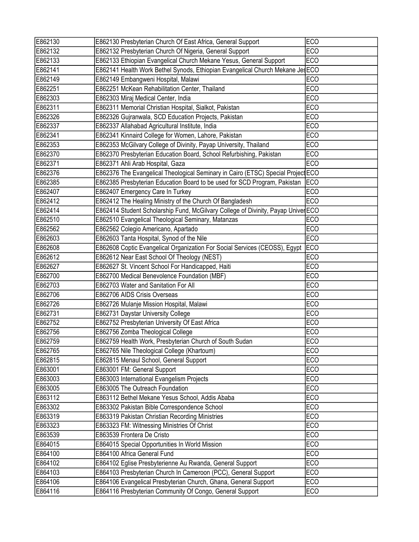| <b>ECO</b><br>E862132 Presbyterian Church Of Nigeria, General Support<br>E862133 Ethiopian Evangelical Church Mekane Yesus, General Support<br><b>ECO</b><br>E862141 Health Work Bethel Synods, Ethiopian Evangelical Church Mekane JesECO<br>E862149 Embangweni Hospital, Malawi<br><b>ECO</b><br>E862251 McKean Rehabilitation Center, Thailand<br><b>ECO</b><br><b>ECO</b><br>E862303 Miraj Medical Center, India<br>E862311 Memorial Christian Hospital, Sialkot, Pakistan<br><b>ECO</b><br>E862326 Gujranwala, SCD Education Projects, Pakistan<br><b>ECO</b><br>E862337 Allahabad Agricultural Institute, India<br><b>ECO</b><br>E862341 Kinnaird College for Women, Lahore, Pakistan<br><b>ECO</b><br><b>ECO</b><br>E862353 McGilvary College of Divinity, Payap University, Thailand<br>E862370 Presbyterian Education Board, School Refurbishing, Pakistan<br><b>ECO</b><br><b>ECO</b><br>E862371 Ahli Arab Hospital, Gaza<br>E862376 The Evangelical Theological Seminary in Cairo (ETSC) Special Project ECO<br>E862385 Presbyterian Education Board to be used for SCD Program, Pakistan<br><b>IECO</b><br>E862407 Emergency Care In Turkey<br><b>ECO</b><br>E862412 The Healing Ministry of the Church Of Bangladesh<br><b>ECO</b><br>E862412<br>E862414<br>E862414 Student Scholarship Fund, McGilvary College of Divinity, Payap UniverECO<br>E862510<br>E862510 Evangelical Theological Seminary, Matanzas<br><b>ECO</b><br>E862562 Colegio Americano, Apartado<br><b>ECO</b><br>E862562<br>E862603<br>E862603 Tanta Hospital, Synod of the Nile<br><b>ECO</b><br><b>ECO</b><br>E862608<br>E862608 Coptic Evangelical Organization For Social Services (CEOSS), Egypt<br>E862612<br>E862612 Near East School Of Theology (NEST)<br><b>ECO</b><br>E862627<br>E862627 St. Vincent School For Handicapped, Haiti<br><b>ECO</b><br>E862700 Medical Benevolence Foundation (MBF)<br>E862700<br><b>ECO</b><br>E862703 Water and Sanitation For All<br><b>ECO</b><br>E862703<br>E862706<br><b>ECO</b><br>E862706 AIDS Crisis Overseas<br><b>ECO</b><br>E862726 Mulanje Mission Hospital, Malawi<br>E862731 Daystar University College<br><b>ECO</b><br>E862752<br>E862752 Presbyterian University Of East Africa<br><b>ECO</b><br>E862756 Zomba Theological College<br><b>ECO</b><br>E862759<br>E862759 Health Work, Presbyterian Church of South Sudan<br><b>ECO</b><br>E862765 Nile Theological College (Khartoum)<br><b>ECO</b><br><b>ECO</b><br>E862815 Menaul School, General Support<br>E863001 FM: General Support<br>ECO<br><b>ECO</b><br>E863003 International Evangelism Projects<br>E863005 The Outreach Foundation<br><b>ECO</b><br><b>ECO</b><br>E863112 Bethel Mekane Yesus School, Addis Ababa<br><b>ECO</b><br>E863302 Pakistan Bible Correspondence School<br>E863319 Pakistan Christian Recording Ministries<br><b>ECO</b><br>E863323 FM: Witnessing Ministries Of Christ<br><b>ECO</b><br><b>ECO</b><br>E863539 Frontera De Cristo<br><b>ECO</b><br>E864015 Special Opportunities In World Mission<br>E864100 Africa General Fund<br><b>ECO</b><br>E864102 Eglise Presbyterienne Au Rwanda, General Support<br><b>ECO</b><br>E864103 Presbyterian Church In Cameroon (PCC), General Support<br><b>ECO</b><br>E864106 Evangelical Presbyterian Church, Ghana, General Support<br><b>ECO</b><br>E864116 Presbyterian Community Of Congo, General Support<br><b>ECO</b> | E862130 | E862130 Presbyterian Church Of East Africa, General Support | <b>ECO</b> |
|--------------------------------------------------------------------------------------------------------------------------------------------------------------------------------------------------------------------------------------------------------------------------------------------------------------------------------------------------------------------------------------------------------------------------------------------------------------------------------------------------------------------------------------------------------------------------------------------------------------------------------------------------------------------------------------------------------------------------------------------------------------------------------------------------------------------------------------------------------------------------------------------------------------------------------------------------------------------------------------------------------------------------------------------------------------------------------------------------------------------------------------------------------------------------------------------------------------------------------------------------------------------------------------------------------------------------------------------------------------------------------------------------------------------------------------------------------------------------------------------------------------------------------------------------------------------------------------------------------------------------------------------------------------------------------------------------------------------------------------------------------------------------------------------------------------------------------------------------------------------------------------------------------------------------------------------------------------------------------------------------------------------------------------------------------------------------------------------------------------------------------------------------------------------------------------------------------------------------------------------------------------------------------------------------------------------------------------------------------------------------------------------------------------------------------------------------------------------------------------------------------------------------------------------------------------------------------------------------------------------------------------------------------------------------------------------------------------------------------------------------------------------------------------------------------------------------------------------------------------------------------------------------------------------------------------------------------------------------------------------------------------------------------------------------------------------------------------------------------------------------------------------------------------------------------------------------------------------------------------------------------------------------------------------------------------------------------------------------------------------------------------------------|---------|-------------------------------------------------------------|------------|
|                                                                                                                                                                                                                                                                                                                                                                                                                                                                                                                                                                                                                                                                                                                                                                                                                                                                                                                                                                                                                                                                                                                                                                                                                                                                                                                                                                                                                                                                                                                                                                                                                                                                                                                                                                                                                                                                                                                                                                                                                                                                                                                                                                                                                                                                                                                                                                                                                                                                                                                                                                                                                                                                                                                                                                                                                                                                                                                                                                                                                                                                                                                                                                                                                                                                                                                                                                                                  | E862132 |                                                             |            |
|                                                                                                                                                                                                                                                                                                                                                                                                                                                                                                                                                                                                                                                                                                                                                                                                                                                                                                                                                                                                                                                                                                                                                                                                                                                                                                                                                                                                                                                                                                                                                                                                                                                                                                                                                                                                                                                                                                                                                                                                                                                                                                                                                                                                                                                                                                                                                                                                                                                                                                                                                                                                                                                                                                                                                                                                                                                                                                                                                                                                                                                                                                                                                                                                                                                                                                                                                                                                  | E862133 |                                                             |            |
|                                                                                                                                                                                                                                                                                                                                                                                                                                                                                                                                                                                                                                                                                                                                                                                                                                                                                                                                                                                                                                                                                                                                                                                                                                                                                                                                                                                                                                                                                                                                                                                                                                                                                                                                                                                                                                                                                                                                                                                                                                                                                                                                                                                                                                                                                                                                                                                                                                                                                                                                                                                                                                                                                                                                                                                                                                                                                                                                                                                                                                                                                                                                                                                                                                                                                                                                                                                                  | E862141 |                                                             |            |
|                                                                                                                                                                                                                                                                                                                                                                                                                                                                                                                                                                                                                                                                                                                                                                                                                                                                                                                                                                                                                                                                                                                                                                                                                                                                                                                                                                                                                                                                                                                                                                                                                                                                                                                                                                                                                                                                                                                                                                                                                                                                                                                                                                                                                                                                                                                                                                                                                                                                                                                                                                                                                                                                                                                                                                                                                                                                                                                                                                                                                                                                                                                                                                                                                                                                                                                                                                                                  | E862149 |                                                             |            |
|                                                                                                                                                                                                                                                                                                                                                                                                                                                                                                                                                                                                                                                                                                                                                                                                                                                                                                                                                                                                                                                                                                                                                                                                                                                                                                                                                                                                                                                                                                                                                                                                                                                                                                                                                                                                                                                                                                                                                                                                                                                                                                                                                                                                                                                                                                                                                                                                                                                                                                                                                                                                                                                                                                                                                                                                                                                                                                                                                                                                                                                                                                                                                                                                                                                                                                                                                                                                  | E862251 |                                                             |            |
|                                                                                                                                                                                                                                                                                                                                                                                                                                                                                                                                                                                                                                                                                                                                                                                                                                                                                                                                                                                                                                                                                                                                                                                                                                                                                                                                                                                                                                                                                                                                                                                                                                                                                                                                                                                                                                                                                                                                                                                                                                                                                                                                                                                                                                                                                                                                                                                                                                                                                                                                                                                                                                                                                                                                                                                                                                                                                                                                                                                                                                                                                                                                                                                                                                                                                                                                                                                                  | E862303 |                                                             |            |
|                                                                                                                                                                                                                                                                                                                                                                                                                                                                                                                                                                                                                                                                                                                                                                                                                                                                                                                                                                                                                                                                                                                                                                                                                                                                                                                                                                                                                                                                                                                                                                                                                                                                                                                                                                                                                                                                                                                                                                                                                                                                                                                                                                                                                                                                                                                                                                                                                                                                                                                                                                                                                                                                                                                                                                                                                                                                                                                                                                                                                                                                                                                                                                                                                                                                                                                                                                                                  | E862311 |                                                             |            |
|                                                                                                                                                                                                                                                                                                                                                                                                                                                                                                                                                                                                                                                                                                                                                                                                                                                                                                                                                                                                                                                                                                                                                                                                                                                                                                                                                                                                                                                                                                                                                                                                                                                                                                                                                                                                                                                                                                                                                                                                                                                                                                                                                                                                                                                                                                                                                                                                                                                                                                                                                                                                                                                                                                                                                                                                                                                                                                                                                                                                                                                                                                                                                                                                                                                                                                                                                                                                  | E862326 |                                                             |            |
|                                                                                                                                                                                                                                                                                                                                                                                                                                                                                                                                                                                                                                                                                                                                                                                                                                                                                                                                                                                                                                                                                                                                                                                                                                                                                                                                                                                                                                                                                                                                                                                                                                                                                                                                                                                                                                                                                                                                                                                                                                                                                                                                                                                                                                                                                                                                                                                                                                                                                                                                                                                                                                                                                                                                                                                                                                                                                                                                                                                                                                                                                                                                                                                                                                                                                                                                                                                                  | E862337 |                                                             |            |
|                                                                                                                                                                                                                                                                                                                                                                                                                                                                                                                                                                                                                                                                                                                                                                                                                                                                                                                                                                                                                                                                                                                                                                                                                                                                                                                                                                                                                                                                                                                                                                                                                                                                                                                                                                                                                                                                                                                                                                                                                                                                                                                                                                                                                                                                                                                                                                                                                                                                                                                                                                                                                                                                                                                                                                                                                                                                                                                                                                                                                                                                                                                                                                                                                                                                                                                                                                                                  | E862341 |                                                             |            |
|                                                                                                                                                                                                                                                                                                                                                                                                                                                                                                                                                                                                                                                                                                                                                                                                                                                                                                                                                                                                                                                                                                                                                                                                                                                                                                                                                                                                                                                                                                                                                                                                                                                                                                                                                                                                                                                                                                                                                                                                                                                                                                                                                                                                                                                                                                                                                                                                                                                                                                                                                                                                                                                                                                                                                                                                                                                                                                                                                                                                                                                                                                                                                                                                                                                                                                                                                                                                  | E862353 |                                                             |            |
|                                                                                                                                                                                                                                                                                                                                                                                                                                                                                                                                                                                                                                                                                                                                                                                                                                                                                                                                                                                                                                                                                                                                                                                                                                                                                                                                                                                                                                                                                                                                                                                                                                                                                                                                                                                                                                                                                                                                                                                                                                                                                                                                                                                                                                                                                                                                                                                                                                                                                                                                                                                                                                                                                                                                                                                                                                                                                                                                                                                                                                                                                                                                                                                                                                                                                                                                                                                                  | E862370 |                                                             |            |
|                                                                                                                                                                                                                                                                                                                                                                                                                                                                                                                                                                                                                                                                                                                                                                                                                                                                                                                                                                                                                                                                                                                                                                                                                                                                                                                                                                                                                                                                                                                                                                                                                                                                                                                                                                                                                                                                                                                                                                                                                                                                                                                                                                                                                                                                                                                                                                                                                                                                                                                                                                                                                                                                                                                                                                                                                                                                                                                                                                                                                                                                                                                                                                                                                                                                                                                                                                                                  | E862371 |                                                             |            |
|                                                                                                                                                                                                                                                                                                                                                                                                                                                                                                                                                                                                                                                                                                                                                                                                                                                                                                                                                                                                                                                                                                                                                                                                                                                                                                                                                                                                                                                                                                                                                                                                                                                                                                                                                                                                                                                                                                                                                                                                                                                                                                                                                                                                                                                                                                                                                                                                                                                                                                                                                                                                                                                                                                                                                                                                                                                                                                                                                                                                                                                                                                                                                                                                                                                                                                                                                                                                  | E862376 |                                                             |            |
|                                                                                                                                                                                                                                                                                                                                                                                                                                                                                                                                                                                                                                                                                                                                                                                                                                                                                                                                                                                                                                                                                                                                                                                                                                                                                                                                                                                                                                                                                                                                                                                                                                                                                                                                                                                                                                                                                                                                                                                                                                                                                                                                                                                                                                                                                                                                                                                                                                                                                                                                                                                                                                                                                                                                                                                                                                                                                                                                                                                                                                                                                                                                                                                                                                                                                                                                                                                                  | E862385 |                                                             |            |
|                                                                                                                                                                                                                                                                                                                                                                                                                                                                                                                                                                                                                                                                                                                                                                                                                                                                                                                                                                                                                                                                                                                                                                                                                                                                                                                                                                                                                                                                                                                                                                                                                                                                                                                                                                                                                                                                                                                                                                                                                                                                                                                                                                                                                                                                                                                                                                                                                                                                                                                                                                                                                                                                                                                                                                                                                                                                                                                                                                                                                                                                                                                                                                                                                                                                                                                                                                                                  | E862407 |                                                             |            |
|                                                                                                                                                                                                                                                                                                                                                                                                                                                                                                                                                                                                                                                                                                                                                                                                                                                                                                                                                                                                                                                                                                                                                                                                                                                                                                                                                                                                                                                                                                                                                                                                                                                                                                                                                                                                                                                                                                                                                                                                                                                                                                                                                                                                                                                                                                                                                                                                                                                                                                                                                                                                                                                                                                                                                                                                                                                                                                                                                                                                                                                                                                                                                                                                                                                                                                                                                                                                  |         |                                                             |            |
|                                                                                                                                                                                                                                                                                                                                                                                                                                                                                                                                                                                                                                                                                                                                                                                                                                                                                                                                                                                                                                                                                                                                                                                                                                                                                                                                                                                                                                                                                                                                                                                                                                                                                                                                                                                                                                                                                                                                                                                                                                                                                                                                                                                                                                                                                                                                                                                                                                                                                                                                                                                                                                                                                                                                                                                                                                                                                                                                                                                                                                                                                                                                                                                                                                                                                                                                                                                                  |         |                                                             |            |
|                                                                                                                                                                                                                                                                                                                                                                                                                                                                                                                                                                                                                                                                                                                                                                                                                                                                                                                                                                                                                                                                                                                                                                                                                                                                                                                                                                                                                                                                                                                                                                                                                                                                                                                                                                                                                                                                                                                                                                                                                                                                                                                                                                                                                                                                                                                                                                                                                                                                                                                                                                                                                                                                                                                                                                                                                                                                                                                                                                                                                                                                                                                                                                                                                                                                                                                                                                                                  |         |                                                             |            |
|                                                                                                                                                                                                                                                                                                                                                                                                                                                                                                                                                                                                                                                                                                                                                                                                                                                                                                                                                                                                                                                                                                                                                                                                                                                                                                                                                                                                                                                                                                                                                                                                                                                                                                                                                                                                                                                                                                                                                                                                                                                                                                                                                                                                                                                                                                                                                                                                                                                                                                                                                                                                                                                                                                                                                                                                                                                                                                                                                                                                                                                                                                                                                                                                                                                                                                                                                                                                  |         |                                                             |            |
|                                                                                                                                                                                                                                                                                                                                                                                                                                                                                                                                                                                                                                                                                                                                                                                                                                                                                                                                                                                                                                                                                                                                                                                                                                                                                                                                                                                                                                                                                                                                                                                                                                                                                                                                                                                                                                                                                                                                                                                                                                                                                                                                                                                                                                                                                                                                                                                                                                                                                                                                                                                                                                                                                                                                                                                                                                                                                                                                                                                                                                                                                                                                                                                                                                                                                                                                                                                                  |         |                                                             |            |
|                                                                                                                                                                                                                                                                                                                                                                                                                                                                                                                                                                                                                                                                                                                                                                                                                                                                                                                                                                                                                                                                                                                                                                                                                                                                                                                                                                                                                                                                                                                                                                                                                                                                                                                                                                                                                                                                                                                                                                                                                                                                                                                                                                                                                                                                                                                                                                                                                                                                                                                                                                                                                                                                                                                                                                                                                                                                                                                                                                                                                                                                                                                                                                                                                                                                                                                                                                                                  |         |                                                             |            |
|                                                                                                                                                                                                                                                                                                                                                                                                                                                                                                                                                                                                                                                                                                                                                                                                                                                                                                                                                                                                                                                                                                                                                                                                                                                                                                                                                                                                                                                                                                                                                                                                                                                                                                                                                                                                                                                                                                                                                                                                                                                                                                                                                                                                                                                                                                                                                                                                                                                                                                                                                                                                                                                                                                                                                                                                                                                                                                                                                                                                                                                                                                                                                                                                                                                                                                                                                                                                  |         |                                                             |            |
|                                                                                                                                                                                                                                                                                                                                                                                                                                                                                                                                                                                                                                                                                                                                                                                                                                                                                                                                                                                                                                                                                                                                                                                                                                                                                                                                                                                                                                                                                                                                                                                                                                                                                                                                                                                                                                                                                                                                                                                                                                                                                                                                                                                                                                                                                                                                                                                                                                                                                                                                                                                                                                                                                                                                                                                                                                                                                                                                                                                                                                                                                                                                                                                                                                                                                                                                                                                                  |         |                                                             |            |
|                                                                                                                                                                                                                                                                                                                                                                                                                                                                                                                                                                                                                                                                                                                                                                                                                                                                                                                                                                                                                                                                                                                                                                                                                                                                                                                                                                                                                                                                                                                                                                                                                                                                                                                                                                                                                                                                                                                                                                                                                                                                                                                                                                                                                                                                                                                                                                                                                                                                                                                                                                                                                                                                                                                                                                                                                                                                                                                                                                                                                                                                                                                                                                                                                                                                                                                                                                                                  |         |                                                             |            |
|                                                                                                                                                                                                                                                                                                                                                                                                                                                                                                                                                                                                                                                                                                                                                                                                                                                                                                                                                                                                                                                                                                                                                                                                                                                                                                                                                                                                                                                                                                                                                                                                                                                                                                                                                                                                                                                                                                                                                                                                                                                                                                                                                                                                                                                                                                                                                                                                                                                                                                                                                                                                                                                                                                                                                                                                                                                                                                                                                                                                                                                                                                                                                                                                                                                                                                                                                                                                  |         |                                                             |            |
|                                                                                                                                                                                                                                                                                                                                                                                                                                                                                                                                                                                                                                                                                                                                                                                                                                                                                                                                                                                                                                                                                                                                                                                                                                                                                                                                                                                                                                                                                                                                                                                                                                                                                                                                                                                                                                                                                                                                                                                                                                                                                                                                                                                                                                                                                                                                                                                                                                                                                                                                                                                                                                                                                                                                                                                                                                                                                                                                                                                                                                                                                                                                                                                                                                                                                                                                                                                                  |         |                                                             |            |
|                                                                                                                                                                                                                                                                                                                                                                                                                                                                                                                                                                                                                                                                                                                                                                                                                                                                                                                                                                                                                                                                                                                                                                                                                                                                                                                                                                                                                                                                                                                                                                                                                                                                                                                                                                                                                                                                                                                                                                                                                                                                                                                                                                                                                                                                                                                                                                                                                                                                                                                                                                                                                                                                                                                                                                                                                                                                                                                                                                                                                                                                                                                                                                                                                                                                                                                                                                                                  | E862726 |                                                             |            |
|                                                                                                                                                                                                                                                                                                                                                                                                                                                                                                                                                                                                                                                                                                                                                                                                                                                                                                                                                                                                                                                                                                                                                                                                                                                                                                                                                                                                                                                                                                                                                                                                                                                                                                                                                                                                                                                                                                                                                                                                                                                                                                                                                                                                                                                                                                                                                                                                                                                                                                                                                                                                                                                                                                                                                                                                                                                                                                                                                                                                                                                                                                                                                                                                                                                                                                                                                                                                  | E862731 |                                                             |            |
|                                                                                                                                                                                                                                                                                                                                                                                                                                                                                                                                                                                                                                                                                                                                                                                                                                                                                                                                                                                                                                                                                                                                                                                                                                                                                                                                                                                                                                                                                                                                                                                                                                                                                                                                                                                                                                                                                                                                                                                                                                                                                                                                                                                                                                                                                                                                                                                                                                                                                                                                                                                                                                                                                                                                                                                                                                                                                                                                                                                                                                                                                                                                                                                                                                                                                                                                                                                                  |         |                                                             |            |
|                                                                                                                                                                                                                                                                                                                                                                                                                                                                                                                                                                                                                                                                                                                                                                                                                                                                                                                                                                                                                                                                                                                                                                                                                                                                                                                                                                                                                                                                                                                                                                                                                                                                                                                                                                                                                                                                                                                                                                                                                                                                                                                                                                                                                                                                                                                                                                                                                                                                                                                                                                                                                                                                                                                                                                                                                                                                                                                                                                                                                                                                                                                                                                                                                                                                                                                                                                                                  | E862756 |                                                             |            |
|                                                                                                                                                                                                                                                                                                                                                                                                                                                                                                                                                                                                                                                                                                                                                                                                                                                                                                                                                                                                                                                                                                                                                                                                                                                                                                                                                                                                                                                                                                                                                                                                                                                                                                                                                                                                                                                                                                                                                                                                                                                                                                                                                                                                                                                                                                                                                                                                                                                                                                                                                                                                                                                                                                                                                                                                                                                                                                                                                                                                                                                                                                                                                                                                                                                                                                                                                                                                  |         |                                                             |            |
|                                                                                                                                                                                                                                                                                                                                                                                                                                                                                                                                                                                                                                                                                                                                                                                                                                                                                                                                                                                                                                                                                                                                                                                                                                                                                                                                                                                                                                                                                                                                                                                                                                                                                                                                                                                                                                                                                                                                                                                                                                                                                                                                                                                                                                                                                                                                                                                                                                                                                                                                                                                                                                                                                                                                                                                                                                                                                                                                                                                                                                                                                                                                                                                                                                                                                                                                                                                                  | E862765 |                                                             |            |
|                                                                                                                                                                                                                                                                                                                                                                                                                                                                                                                                                                                                                                                                                                                                                                                                                                                                                                                                                                                                                                                                                                                                                                                                                                                                                                                                                                                                                                                                                                                                                                                                                                                                                                                                                                                                                                                                                                                                                                                                                                                                                                                                                                                                                                                                                                                                                                                                                                                                                                                                                                                                                                                                                                                                                                                                                                                                                                                                                                                                                                                                                                                                                                                                                                                                                                                                                                                                  | E862815 |                                                             |            |
|                                                                                                                                                                                                                                                                                                                                                                                                                                                                                                                                                                                                                                                                                                                                                                                                                                                                                                                                                                                                                                                                                                                                                                                                                                                                                                                                                                                                                                                                                                                                                                                                                                                                                                                                                                                                                                                                                                                                                                                                                                                                                                                                                                                                                                                                                                                                                                                                                                                                                                                                                                                                                                                                                                                                                                                                                                                                                                                                                                                                                                                                                                                                                                                                                                                                                                                                                                                                  | E863001 |                                                             |            |
|                                                                                                                                                                                                                                                                                                                                                                                                                                                                                                                                                                                                                                                                                                                                                                                                                                                                                                                                                                                                                                                                                                                                                                                                                                                                                                                                                                                                                                                                                                                                                                                                                                                                                                                                                                                                                                                                                                                                                                                                                                                                                                                                                                                                                                                                                                                                                                                                                                                                                                                                                                                                                                                                                                                                                                                                                                                                                                                                                                                                                                                                                                                                                                                                                                                                                                                                                                                                  | E863003 |                                                             |            |
|                                                                                                                                                                                                                                                                                                                                                                                                                                                                                                                                                                                                                                                                                                                                                                                                                                                                                                                                                                                                                                                                                                                                                                                                                                                                                                                                                                                                                                                                                                                                                                                                                                                                                                                                                                                                                                                                                                                                                                                                                                                                                                                                                                                                                                                                                                                                                                                                                                                                                                                                                                                                                                                                                                                                                                                                                                                                                                                                                                                                                                                                                                                                                                                                                                                                                                                                                                                                  | E863005 |                                                             |            |
|                                                                                                                                                                                                                                                                                                                                                                                                                                                                                                                                                                                                                                                                                                                                                                                                                                                                                                                                                                                                                                                                                                                                                                                                                                                                                                                                                                                                                                                                                                                                                                                                                                                                                                                                                                                                                                                                                                                                                                                                                                                                                                                                                                                                                                                                                                                                                                                                                                                                                                                                                                                                                                                                                                                                                                                                                                                                                                                                                                                                                                                                                                                                                                                                                                                                                                                                                                                                  | E863112 |                                                             |            |
|                                                                                                                                                                                                                                                                                                                                                                                                                                                                                                                                                                                                                                                                                                                                                                                                                                                                                                                                                                                                                                                                                                                                                                                                                                                                                                                                                                                                                                                                                                                                                                                                                                                                                                                                                                                                                                                                                                                                                                                                                                                                                                                                                                                                                                                                                                                                                                                                                                                                                                                                                                                                                                                                                                                                                                                                                                                                                                                                                                                                                                                                                                                                                                                                                                                                                                                                                                                                  | E863302 |                                                             |            |
|                                                                                                                                                                                                                                                                                                                                                                                                                                                                                                                                                                                                                                                                                                                                                                                                                                                                                                                                                                                                                                                                                                                                                                                                                                                                                                                                                                                                                                                                                                                                                                                                                                                                                                                                                                                                                                                                                                                                                                                                                                                                                                                                                                                                                                                                                                                                                                                                                                                                                                                                                                                                                                                                                                                                                                                                                                                                                                                                                                                                                                                                                                                                                                                                                                                                                                                                                                                                  | E863319 |                                                             |            |
|                                                                                                                                                                                                                                                                                                                                                                                                                                                                                                                                                                                                                                                                                                                                                                                                                                                                                                                                                                                                                                                                                                                                                                                                                                                                                                                                                                                                                                                                                                                                                                                                                                                                                                                                                                                                                                                                                                                                                                                                                                                                                                                                                                                                                                                                                                                                                                                                                                                                                                                                                                                                                                                                                                                                                                                                                                                                                                                                                                                                                                                                                                                                                                                                                                                                                                                                                                                                  | E863323 |                                                             |            |
|                                                                                                                                                                                                                                                                                                                                                                                                                                                                                                                                                                                                                                                                                                                                                                                                                                                                                                                                                                                                                                                                                                                                                                                                                                                                                                                                                                                                                                                                                                                                                                                                                                                                                                                                                                                                                                                                                                                                                                                                                                                                                                                                                                                                                                                                                                                                                                                                                                                                                                                                                                                                                                                                                                                                                                                                                                                                                                                                                                                                                                                                                                                                                                                                                                                                                                                                                                                                  | E863539 |                                                             |            |
|                                                                                                                                                                                                                                                                                                                                                                                                                                                                                                                                                                                                                                                                                                                                                                                                                                                                                                                                                                                                                                                                                                                                                                                                                                                                                                                                                                                                                                                                                                                                                                                                                                                                                                                                                                                                                                                                                                                                                                                                                                                                                                                                                                                                                                                                                                                                                                                                                                                                                                                                                                                                                                                                                                                                                                                                                                                                                                                                                                                                                                                                                                                                                                                                                                                                                                                                                                                                  | E864015 |                                                             |            |
|                                                                                                                                                                                                                                                                                                                                                                                                                                                                                                                                                                                                                                                                                                                                                                                                                                                                                                                                                                                                                                                                                                                                                                                                                                                                                                                                                                                                                                                                                                                                                                                                                                                                                                                                                                                                                                                                                                                                                                                                                                                                                                                                                                                                                                                                                                                                                                                                                                                                                                                                                                                                                                                                                                                                                                                                                                                                                                                                                                                                                                                                                                                                                                                                                                                                                                                                                                                                  | E864100 |                                                             |            |
|                                                                                                                                                                                                                                                                                                                                                                                                                                                                                                                                                                                                                                                                                                                                                                                                                                                                                                                                                                                                                                                                                                                                                                                                                                                                                                                                                                                                                                                                                                                                                                                                                                                                                                                                                                                                                                                                                                                                                                                                                                                                                                                                                                                                                                                                                                                                                                                                                                                                                                                                                                                                                                                                                                                                                                                                                                                                                                                                                                                                                                                                                                                                                                                                                                                                                                                                                                                                  | E864102 |                                                             |            |
|                                                                                                                                                                                                                                                                                                                                                                                                                                                                                                                                                                                                                                                                                                                                                                                                                                                                                                                                                                                                                                                                                                                                                                                                                                                                                                                                                                                                                                                                                                                                                                                                                                                                                                                                                                                                                                                                                                                                                                                                                                                                                                                                                                                                                                                                                                                                                                                                                                                                                                                                                                                                                                                                                                                                                                                                                                                                                                                                                                                                                                                                                                                                                                                                                                                                                                                                                                                                  | E864103 |                                                             |            |
|                                                                                                                                                                                                                                                                                                                                                                                                                                                                                                                                                                                                                                                                                                                                                                                                                                                                                                                                                                                                                                                                                                                                                                                                                                                                                                                                                                                                                                                                                                                                                                                                                                                                                                                                                                                                                                                                                                                                                                                                                                                                                                                                                                                                                                                                                                                                                                                                                                                                                                                                                                                                                                                                                                                                                                                                                                                                                                                                                                                                                                                                                                                                                                                                                                                                                                                                                                                                  | E864106 |                                                             |            |
|                                                                                                                                                                                                                                                                                                                                                                                                                                                                                                                                                                                                                                                                                                                                                                                                                                                                                                                                                                                                                                                                                                                                                                                                                                                                                                                                                                                                                                                                                                                                                                                                                                                                                                                                                                                                                                                                                                                                                                                                                                                                                                                                                                                                                                                                                                                                                                                                                                                                                                                                                                                                                                                                                                                                                                                                                                                                                                                                                                                                                                                                                                                                                                                                                                                                                                                                                                                                  | E864116 |                                                             |            |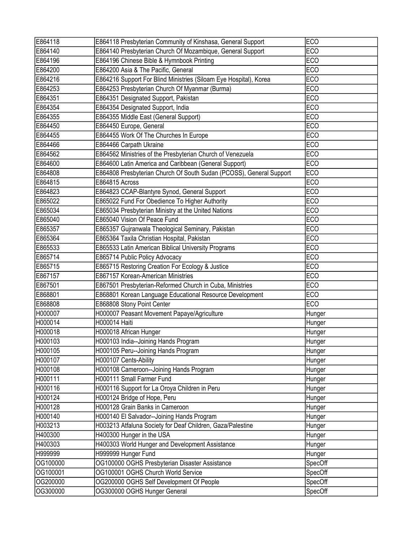| E864118  | E864118 Presbyterian Community of Kinshasa, General Support         | <b>ECO</b> |
|----------|---------------------------------------------------------------------|------------|
| E864140  | E864140 Presbyterian Church Of Mozambique, General Support          | <b>ECO</b> |
| E864196  | E864196 Chinese Bible & Hymnbook Printing                           | <b>ECO</b> |
| E864200  | E864200 Asia & The Pacific, General                                 | <b>ECO</b> |
| E864216  | E864216 Support For Blind Ministries (Siloam Eye Hospital), Korea   | <b>ECO</b> |
| E864253  | E864253 Presbyterian Church Of Myanmar (Burma)                      | <b>ECO</b> |
| E864351  | E864351 Designated Support, Pakistan                                | <b>ECO</b> |
| E864354  | E864354 Designated Support, India                                   | <b>ECO</b> |
| E864355  | E864355 Middle East (General Support)                               | <b>ECO</b> |
| E864450  | E864450 Europe, General                                             | <b>ECO</b> |
| E864455  | E864455 Work Of The Churches In Europe                              | <b>ECO</b> |
| E864466  | E864466 Carpath Ukraine                                             | <b>ECO</b> |
| E864562  | E864562 Ministries of the Presbyterian Church of Venezuela          | <b>ECO</b> |
| E864600  | E864600 Latin America and Caribbean (General Support)               | <b>ECO</b> |
| E864808  | E864808 Presbyterian Church Of South Sudan (PCOSS), General Support | <b>ECO</b> |
| E864815  | E864815 Across                                                      | <b>ECO</b> |
| E864823  | E864823 CCAP-Blantyre Synod, General Support                        | <b>ECO</b> |
| E865022  | E865022 Fund For Obedience To Higher Authority                      | <b>ECO</b> |
| E865034  | E865034 Presbyterian Ministry at the United Nations                 | <b>ECO</b> |
| E865040  | E865040 Vision Of Peace Fund                                        | <b>ECO</b> |
| E865357  | E865357 Gujranwala Theological Seminary, Pakistan                   | <b>ECO</b> |
| E865364  | E865364 Taxila Christian Hospital, Pakistan                         | <b>ECO</b> |
| E865533  | E865533 Latin American Biblical University Programs                 | <b>ECO</b> |
| E865714  | E865714 Public Policy Advocacy                                      | <b>ECO</b> |
| E865715  | E865715 Restoring Creation For Ecology & Justice                    | <b>ECO</b> |
| E867157  | E867157 Korean-American Ministries                                  | <b>ECO</b> |
| E867501  | E867501 Presbyterian-Reformed Church in Cuba, Ministries            | <b>ECO</b> |
| E868801  | E868801 Korean Language Educational Resource Development            | <b>ECO</b> |
| E868808  | E868808 Stony Point Center                                          | <b>ECO</b> |
| H000007  | H000007 Peasant Movement Papaye/Agriculture                         | Hunger     |
| H000014  | H000014 Haiti                                                       | Hunger     |
| H000018  | H000018 African Hunger                                              | Hunger     |
| H000103  | H000103 India--Joining Hands Program                                | Hunger     |
| H000105  | H000105 Peru--Joining Hands Program                                 | Hunger     |
| H000107  | H000107 Cents-Ability                                               | Hunger     |
| H000108  | H000108 Cameroon--Joining Hands Program                             | Hunger     |
| H000111  | H000111 Small Farmer Fund                                           | Hunger     |
| H000116  | H000116 Support for La Oroya Children in Peru                       | Hunger     |
| H000124  | H000124 Bridge of Hope, Peru                                        | Hunger     |
| H000128  | H000128 Grain Banks in Cameroon                                     | Hunger     |
| H000140  | H000140 El Salvador--Joining Hands Program                          | Hunger     |
| H003213  | H003213 Atfaluna Society for Deaf Children, Gaza/Palestine          | Hunger     |
| H400300  | H400300 Hunger in the USA                                           | Hunger     |
| H400303  | H400303 World Hunger and Development Assistance                     | Hunger     |
| H999999  | H999999 Hunger Fund                                                 | Hunger     |
| OG100000 | OG100000 OGHS Presbyterian Disaster Assistance                      | SpecOff    |
| OG100001 | OG100001 OGHS Church World Service                                  | SpecOff    |
| OG200000 | OG200000 OGHS Self Development Of People                            | SpecOff    |
| OG300000 | OG300000 OGHS Hunger General                                        | SpecOff    |